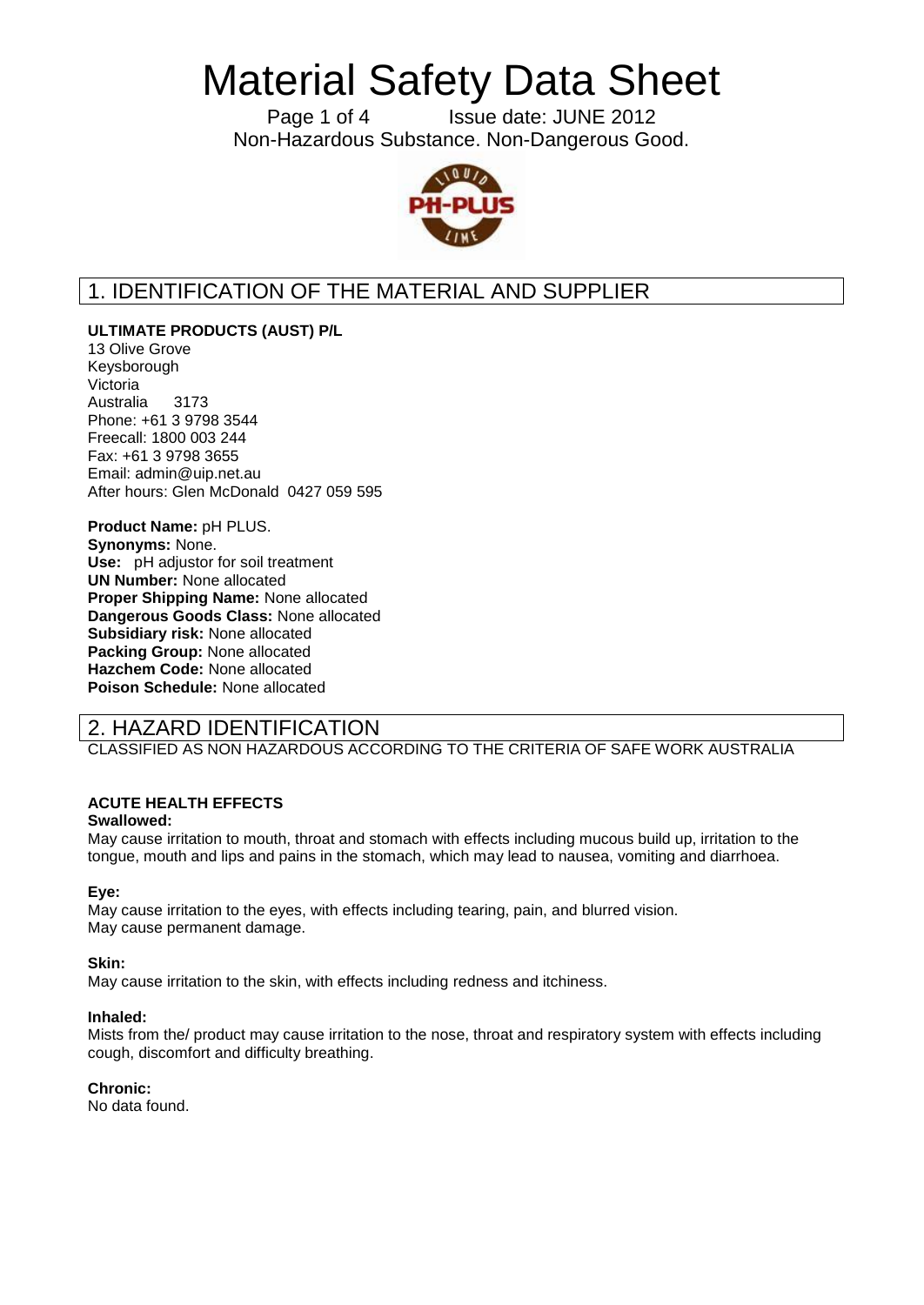Page 1 of 4 Issue date: JUNE 2012 Non-Hazardous Substance. Non-Dangerous Good.



# 1. IDENTIFICATION OF THE MATERIAL AND SUPPLIER

**ULTIMATE PRODUCTS (AUST) P/L**

13 Olive Grove Keysborough Victoria Australia 3173 Phone: +61 3 9798 3544 Freecall: 1800 003 244 Fax: +61 3 9798 3655 Email: admin@uip.net.au After hours: Glen McDonald 0427 059 595

**Product Name:** pH PLUS. **Synonyms:** None. **Use:** pH adjustor for soil treatment **UN Number:** None allocated **Proper Shipping Name:** None allocated **Dangerous Goods Class:** None allocated **Subsidiary risk:** None allocated **Packing Group:** None allocated **Hazchem Code:** None allocated **Poison Schedule:** None allocated

# 2. HAZARD IDENTIFICATION

CLASSIFIED AS NON HAZARDOUS ACCORDING TO THE CRITERIA OF SAFE WORK AUSTRALIA

## **ACUTE HEALTH EFFECTS**

## **Swallowed:**

May cause irritation to mouth, throat and stomach with effects including mucous build up, irritation to the tongue, mouth and lips and pains in the stomach, which may lead to nausea, vomiting and diarrhoea.

## **Eye:**

May cause irritation to the eyes, with effects including tearing, pain, and blurred vision. May cause permanent damage.

## **Skin:**

May cause irritation to the skin, with effects including redness and itchiness.

#### **Inhaled:**

Mists from the/ product may cause irritation to the nose, throat and respiratory system with effects including cough, discomfort and difficulty breathing.

## **Chronic:**

No data found.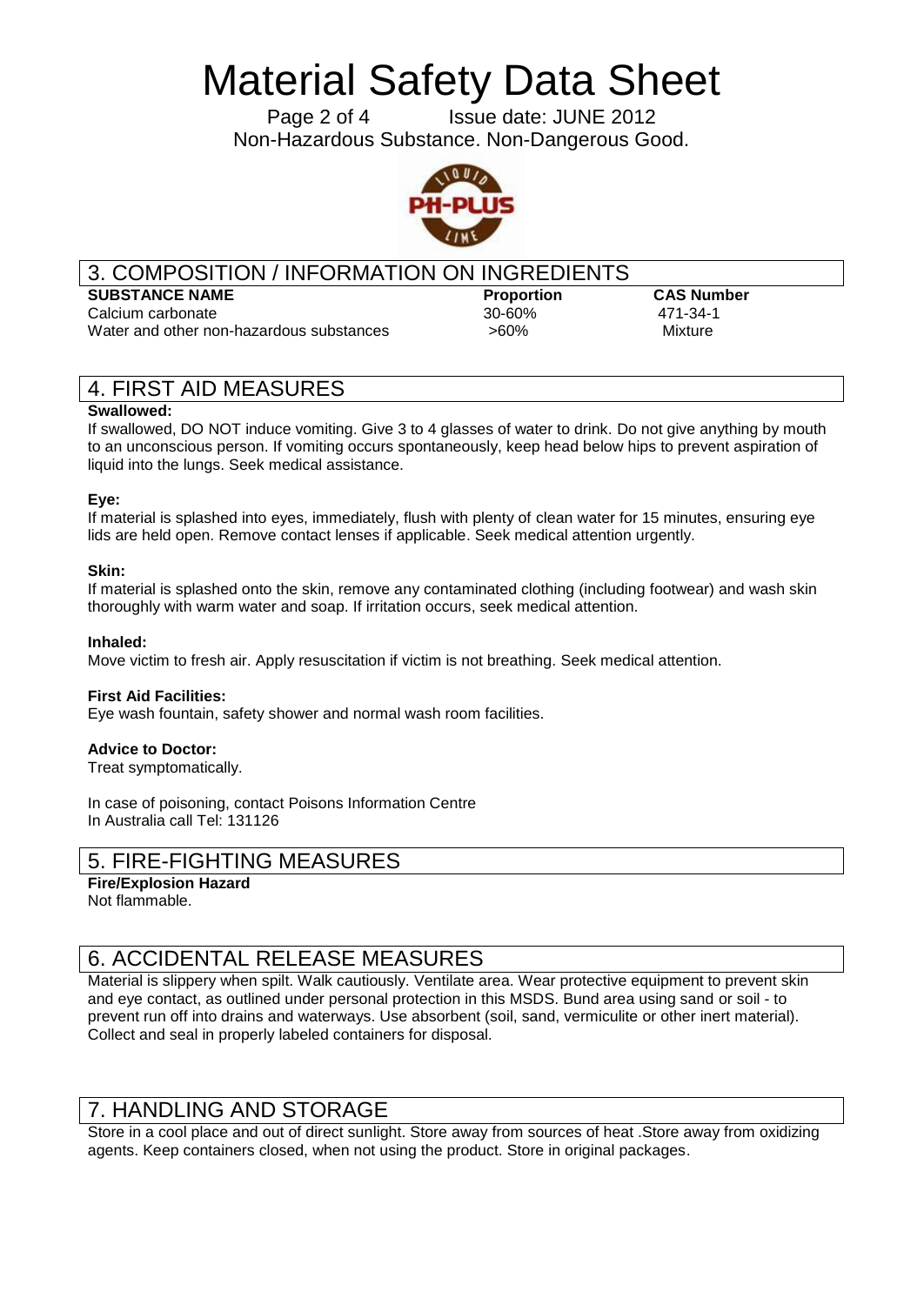Page 2 of 4 Issue date: JUNE 2012 Non-Hazardous Substance. Non-Dangerous Good.



## 3. COMPOSITION / INFORMATION ON INGREDIENTS

## **SUBSTANCE NAME Proportion CAS Number**

Calcium carbonate 30-60% 471-34-1 Water and other non-hazardous substances  $>60\%$  > Mixture

# 4. FIRST AID MEASURES

### **Swallowed:**

If swallowed, DO NOT induce vomiting. Give 3 to 4 glasses of water to drink. Do not give anything by mouth to an unconscious person. If vomiting occurs spontaneously, keep head below hips to prevent aspiration of liquid into the lungs. Seek medical assistance.

## **Eye:**

If material is splashed into eyes, immediately, flush with plenty of clean water for 15 minutes, ensuring eye lids are held open. Remove contact lenses if applicable. Seek medical attention urgently.

### **Skin:**

If material is splashed onto the skin, remove any contaminated clothing (including footwear) and wash skin thoroughly with warm water and soap. If irritation occurs, seek medical attention.

#### **Inhaled:**

Move victim to fresh air. Apply resuscitation if victim is not breathing. Seek medical attention.

#### **First Aid Facilities:**

Eye wash fountain, safety shower and normal wash room facilities.

#### **Advice to Doctor:**

Treat symptomatically.

In case of poisoning, contact Poisons Information Centre In Australia call Tel: 131126

## 5. FIRE-FIGHTING MEASURES

```
Fire/Explosion Hazard
Not flammable.
```
# 6. ACCIDENTAL RELEASE MEASURES

Material is slippery when spilt. Walk cautiously. Ventilate area. Wear protective equipment to prevent skin and eye contact, as outlined under personal protection in this MSDS. Bund area using sand or soil - to prevent run off into drains and waterways. Use absorbent (soil, sand, vermiculite or other inert material). Collect and seal in properly labeled containers for disposal.

## 7. HANDLING AND STORAGE

Store in a cool place and out of direct sunlight. Store away from sources of heat .Store away from oxidizing agents. Keep containers closed, when not using the product. Store in original packages.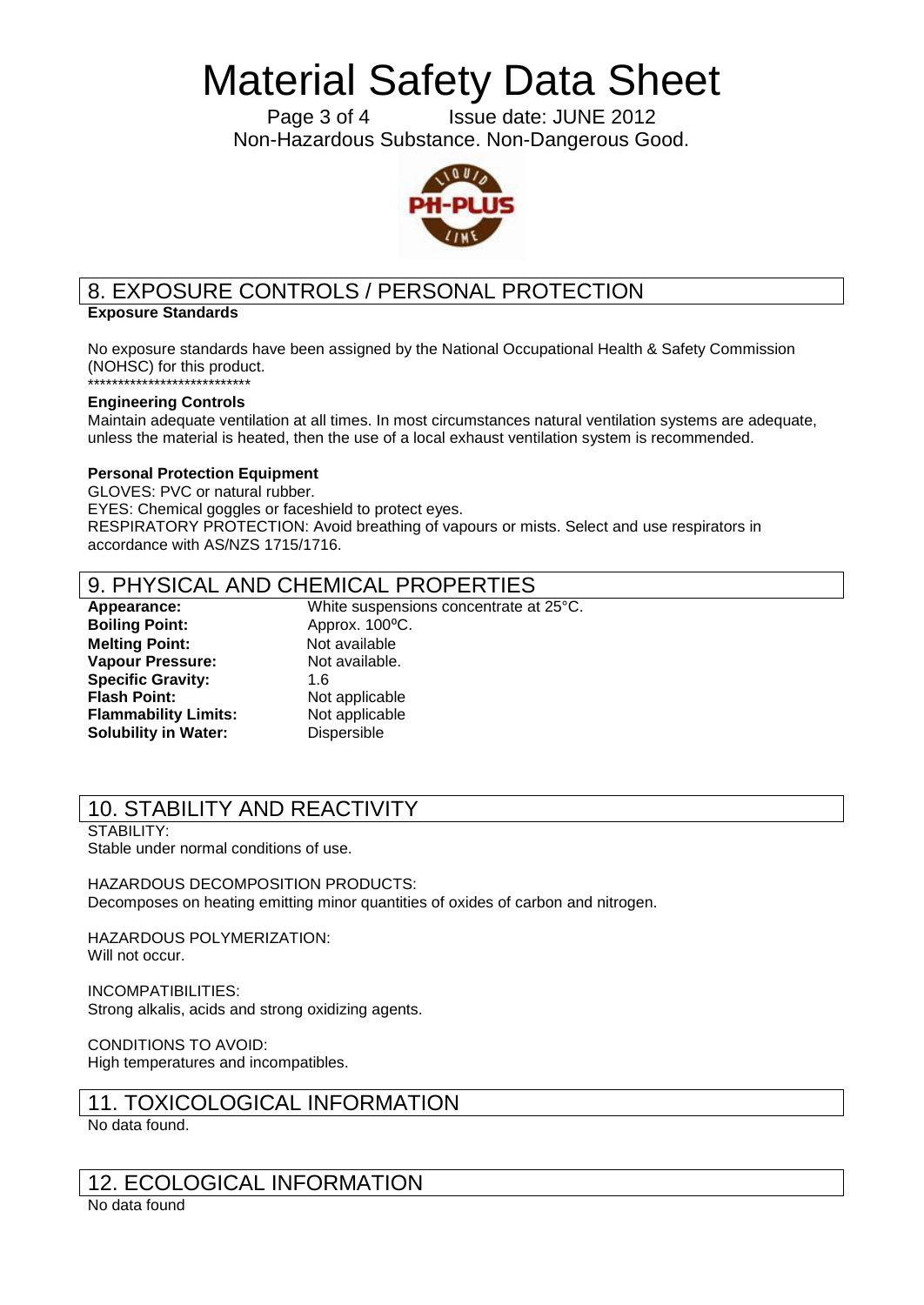Page 3 of 4 Issue date: JUNE 2012 Non-Hazardous Substance. Non-Dangerous Good.



# 8. EXPOSURE CONTROLS / PERSONAL PROTECTION

### **Exposure Standards**

No exposure standards have been assigned by the National Occupational Health & Safety Commission (NOHSC) for this product.

#### \*\*\*\*\*\*\*\*\*\*\*\*\*\*\*\*\*\*\*\*\*\*\*\*\*\*\* **Engineering Controls**

Maintain adequate ventilation at all times. In most circumstances natural ventilation systems are adequate, unless the material is heated, then the use of a local exhaust ventilation system is recommended.

#### **Personal Protection Equipment**

GLOVES: PVC or natural rubber. EYES: Chemical goggles or faceshield to protect eyes. RESPIRATORY PROTECTION: Avoid breathing of vapours or mists. Select and use respirators in accordance with AS/NZS 1715/1716.

## 9. PHYSICAL AND CHEMICAL PROPERTIES

**Boiling Point:** Approx. 100°C. **Melting Point:** Not available **Vapour Pressure:** Not available. **Specific Gravity:** 1.6 **Flash Point:** Not applicable **Flammability Limits:** Not applicable **Solubility in Water:** Dispersible

**Appearance:** White suspensions concentrate at 25°C.

# 10. STABILITY AND REACTIVITY

STABILITY: Stable under normal conditions of use.

HAZARDOUS DECOMPOSITION PRODUCTS: Decomposes on heating emitting minor quantities of oxides of carbon and nitrogen.

HAZARDOUS POLYMERIZATION: Will not occur.

INCOMPATIBILITIES: Strong alkalis, acids and strong oxidizing agents.

CONDITIONS TO AVOID: High temperatures and incompatibles.

## 11. TOXICOLOGICAL INFORMATION

No data found.

## 12. ECOLOGICAL INFORMATION

No data found